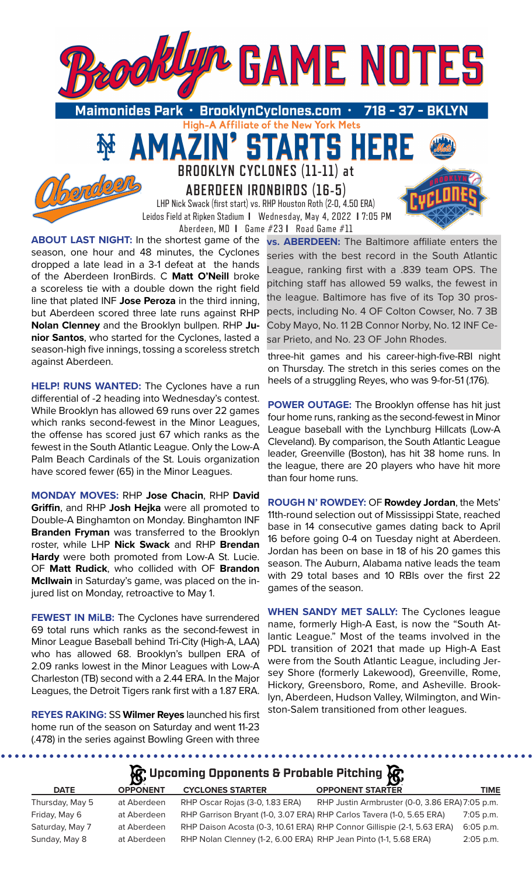

A Affiliate of the New York Mets-

TARTS HE

**BROOKLYN CYCLONES (11-11) at** 

51

**ABERDEEN IRONBIRDS (16-5)** LHP Nick Swack (first start) vs. RHP Houston Roth (2-0, 4.50 ERA) Leidos Field at Ripken Stadium **I** Wednesday, May 4, 2022 **I** 7:05 PM Aberdeen, MD **I** Game #23 **I** Road Game #11

**ABOUT LAST NIGHT:** In the shortest game of the season, one hour and 48 minutes, the Cyclones dropped a late lead in a 3-1 defeat at the hands of the Aberdeen IronBirds. C **Matt O'Neill** broke a scoreless tie with a double down the right field line that plated INF **Jose Peroza** in the third inning, but Aberdeen scored three late runs against RHP **Nolan Clenney** and the Brooklyn bullpen. RHP **Junior Santos**, who started for the Cyclones, lasted a season-high five innings, tossing a scoreless stretch against Aberdeen.

MA

**HELP! RUNS WANTED:** The Cyclones have a run differential of -2 heading into Wednesday's contest. While Brooklyn has allowed 69 runs over 22 games which ranks second-fewest in the Minor Leagues, the offense has scored just 67 which ranks as the fewest in the South Atlantic League. Only the Low-A Palm Beach Cardinals of the St. Louis organization have scored fewer (65) in the Minor Leagues.

**MONDAY MOVES:** RHP **Jose Chacin**, RHP **David Griffin**, and RHP **Josh Hejka** were all promoted to Double-A Binghamton on Monday. Binghamton INF **Branden Fryman** was transferred to the Brooklyn roster, while LHP **Nick Swack** and RHP **Brendan Hardy** were both promoted from Low-A St. Lucie. OF **Matt Rudick**, who collided with OF **Brandon McIlwain** in Saturday's game, was placed on the injured list on Monday, retroactive to May 1.

**FEWEST IN MiLB:** The Cyclones have surrendered 69 total runs which ranks as the second-fewest in Minor League Baseball behind Tri-City (High-A, LAA) who has allowed 68. Brooklyn's bullpen ERA of 2.09 ranks lowest in the Minor Leagues with Low-A Charleston (TB) second with a 2.44 ERA. In the Major Leagues, the Detroit Tigers rank first with a 1.87 ERA.

**REYES RAKING:** SS **Wilmer Reyes** launched his first home run of the season on Saturday and went 11-23 (.478) in the series against Bowling Green with three

**vs. ABERDEEN:** The Baltimore affiliate enters the series with the best record in the South Atlantic League, ranking first with a .839 team OPS. The pitching staff has allowed 59 walks, the fewest in the league. Baltimore has five of its Top 30 prospects, including No. 4 OF Colton Cowser, No. 7 3B Coby Mayo, No. 11 2B Connor Norby, No. 12 INF Cesar Prieto, and No. 23 OF John Rhodes.

three-hit games and his career-high-five-RBI night on Thursday. The stretch in this series comes on the heels of a struggling Reyes, who was 9-for-51 (.176).

**POWER OUTAGE:** The Brooklyn offense has hit just four home runs, ranking as the second-fewest in Minor League baseball with the Lynchburg Hillcats (Low-A Cleveland). By comparison, the South Atlantic League leader, Greenville (Boston), has hit 38 home runs. In the league, there are 20 players who have hit more than four home runs.

**ROUGH N' ROWDEY:** OF **Rowdey Jordan**, the Mets' 11th-round selection out of Mississippi State, reached base in 14 consecutive games dating back to April 16 before going 0-4 on Tuesday night at Aberdeen. Jordan has been on base in 18 of his 20 games this season. The Auburn, Alabama native leads the team with 29 total bases and 10 RBIs over the first 22 games of the season.

**WHEN SANDY MET SALLY:** The Cyclones league name, formerly High-A East, is now the "South Atlantic League." Most of the teams involved in the PDL transition of 2021 that made up High-A East were from the South Atlantic League, including Jersey Shore (formerly Lakewood), Greenville, Rome, Hickory, Greensboro, Rome, and Asheville. Brooklyn, Aberdeen, Hudson Valley, Wilmington, and Winston-Salem transitioned from other leagues.

# **R**: Upcoming Opponents & Probable Pitching **R**

| <b>DATE</b>     | <b>OPPONENT</b> | <b>CYCLONES STARTER</b>                                               | <b>OPPONENT STARTER</b>                                                 | <b>TIME</b> |
|-----------------|-----------------|-----------------------------------------------------------------------|-------------------------------------------------------------------------|-------------|
| Thursday, May 5 | at Aberdeen     | RHP Oscar Rojas (3-0, 1.83 ERA)                                       | RHP Justin Armbruster (0-0, 3.86 ERA) 7:05 p.m.                         |             |
| Friday, May 6   | at Aberdeen     | RHP Garrison Bryant (1-0, 3.07 ERA) RHP Carlos Tavera (1-0, 5.65 ERA) |                                                                         | 7:05 p.m.   |
| Saturday, May 7 | at Aberdeen     |                                                                       | RHP Daison Acosta (0-3, 10.61 ERA) RHP Connor Gillispie (2-1, 5.63 ERA) | $6:05$ p.m. |
| Sunday, May 8   | at Aberdeen     | RHP Nolan Clenney (1-2, 6.00 ERA) RHP Jean Pinto (1-1, 5.68 ERA)      |                                                                         | $2:05$ p.m. |
|                 |                 |                                                                       |                                                                         |             |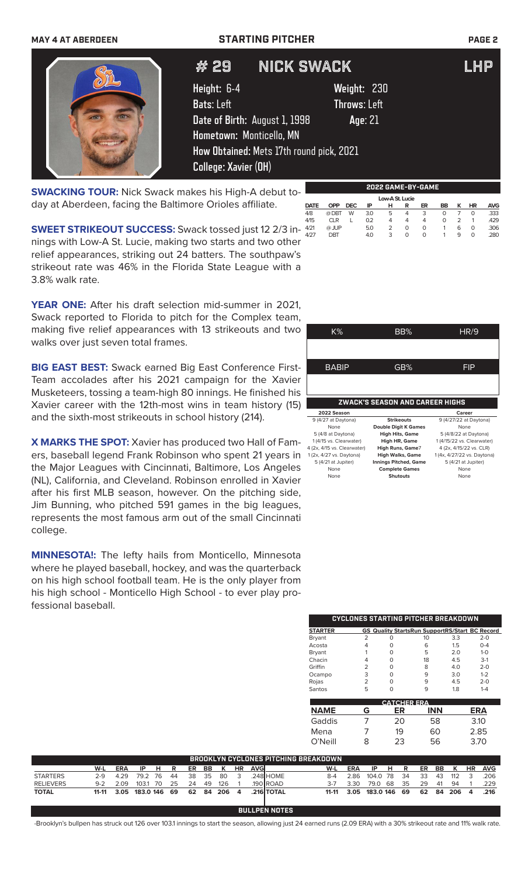### **MAY 4 AT ABERDEEN STARTING PITCHER PAGE 2**



## # 29 NICK SWACK LHP

**Height:** 6-4 **Weight:** 230 **Bats**: Left **Throws**: Left **Date of Birth:** August 1, 1998 **Age**: 21 **Hometown:** Monticello, MN **How Obtained:** Mets 17th round pick, 2021 **College: Xavier (OH)**

**SWACKING TOUR:** Nick Swack makes his High-A debut today at Aberdeen, facing the Baltimore Orioles affiliate.

**SWEET STRIKEOUT SUCCESS:** Swack tossed just 12 2/3 in-421 nings with Low-A St. Lucie, making two starts and two other relief appearances, striking out 24 batters. The southpaw's strikeout rate was 46% in the Florida State League with a 3.8% walk rate.

**YEAR ONE:** After his draft selection mid-summer in 2021, Swack reported to Florida to pitch for the Complex team, making five relief appearances with 13 strikeouts and two walks over just seven total frames.

**BIG EAST BEST:** Swack earned Big East Conference First-Team accolades after his 2021 campaign for the Xavier Musketeers, tossing a team-high 80 innings. He finished his Xavier career with the 12th-most wins in team history (15) and the sixth-most strikeouts in school history (214).

**X MARKS THE SPOT:** Xavier has produced two Hall of Famers, baseball legend Frank Robinson who spent 21 years in the Major Leagues with Cincinnati, Baltimore, Los Angeles (NL), California, and Cleveland. Robinson enrolled in Xavier after his first MLB season, however. On the pitching side, Jim Bunning, who pitched 591 games in the big leagues, represents the most famous arm out of the small Cincinnati college.

**MINNESOTA!:** The lefty hails from Monticello, Minnesota where he played baseball, hockey, and was the quarterback on his high school football team. He is the only player from his high school - Monticello High School - to ever play professional baseball.

| K%                          | BB%                             | HR/9                        |
|-----------------------------|---------------------------------|-----------------------------|
|                             |                                 |                             |
|                             |                                 |                             |
| BABIP                       | GB%                             | FIP                         |
|                             |                                 |                             |
|                             |                                 |                             |
|                             |                                 |                             |
|                             |                                 |                             |
|                             |                                 |                             |
|                             | ZWACK'S SEASON AND CAREER HIGHS |                             |
| 2022 Season                 |                                 | Career                      |
| 9 (4/27 at Daytona)         | <b>Strikeouts</b>               | 9 (4/27/22 at Daytona)      |
| None                        | <b>Double Digit K Games</b>     | None                        |
| 5 (4/8 at Daytona)          | <b>High Hits, Game</b>          | 5 (4/8/22 at Daytona)       |
| 1 (4/15 vs. Clearwater)     | High HR, Game                   | 1 (4/15/22 vs. Clearwater)  |
| 4 (2x, 4/15 vs. Clearwater) | High Runs, Game7                | 4 (2x, 4/15/22 vs. CLR)     |
| 1 (2x, 4/27 vs. Daytona)    | <b>High Walks, Game</b>         | 1 (4x, 4/27/22 vs. Daytona) |
| 5 (4/21 at Jupiter)         | <b>Innings Pitched, Game</b>    | 5 (4/21 at Jupiter)         |
| None                        | <b>Complete Games</b>           | None                        |
| None                        | <b>Shutouts</b>                 | None                        |
|                             |                                 |                             |

**2022 GAME-BY-GAME**

**DATE OPP DEC IP H R ER BB K HR AVG** 4/8 @ DBT W 3.0 5 4 3 0 7 0 .333 4/15 CLR L 0.2 4 4 4 0 2 1 .429 4/21 @ JUP 5.0 2 0 0 1 6 0 .306 4/27 DBT 4.0 3 0 0 1 9 0 .280

Low-A St. Lucie<br>
<u>DATE OPP DEC IP HR</u>

|                |   |   | CYCLONES STARTING PITCHER BREAKDOWN                   |     |         |
|----------------|---|---|-------------------------------------------------------|-----|---------|
| <b>STARTER</b> |   |   | <b>GS Quality StartsRun SupportRS/Start BC Record</b> |     |         |
| <b>Bryant</b>  | 2 | ი | 10                                                    | 3.3 | $2 - 0$ |
| Acosta         |   |   | 6                                                     | 1.5 | $O - 4$ |
| Bryant         |   | ი | 5                                                     | 2.0 | $1 - 0$ |
| Chacin         |   | ∩ | 18                                                    | 4.5 | $3-1$   |
| Griffin        | 2 | O | 8                                                     | 4.0 | $2 - 0$ |
| Ocampo         | 3 | ∩ | 9                                                     | 3.0 | $1 - 2$ |
| Rojas          | 2 | O | q                                                     | 4.5 | $2 - 0$ |
| Santos         | 5 |   |                                                       | 18  | $1 - 4$ |

|             |   | <b>CATCHER ERA</b> |            |      |
|-------------|---|--------------------|------------|------|
| <b>NAME</b> | G | ER                 | <b>INN</b> | ERA  |
| Gaddis      |   | 20                 | 58         | 3.10 |
| Mena        |   | 19                 | 60         | 2.85 |
| O'Neill     | 8 | 23                 | 56         | 3.70 |

|                  |         |            |              |    |    |      |      |           |                |      |                  | BROOKLYN CYCLONES PITCHING BREAKDOWN. |         |                         |          |    |      |    |     |              |                |            |
|------------------|---------|------------|--------------|----|----|------|------|-----------|----------------|------|------------------|---------------------------------------|---------|-------------------------|----------|----|------|----|-----|--------------|----------------|------------|
|                  | W-L     | ERA        | -IP          | н. | R  | ER   | BB   | к         | <b>HR</b>      | AVGI |                  |                                       | W-L     | ERA                     | -IP      | н. | R    | ER | BB. | $\mathsf{K}$ | <b>HR</b>      | <b>AVG</b> |
| <b>STARTERS</b>  | $2-9$   | 4.29       | 792 76       |    | 44 | - 38 | 35   | -80       |                |      | 248 HOME         |                                       | $8-4$   | 2.86                    | 104.0 78 |    | - 34 | 33 | 43  | 112          | ₹              | 206        |
| <b>RELIEVERS</b> | $9 - 2$ | 2.09       | 103.1 70     |    | 25 | 24   | - 49 | 126       |                |      | $.190$ ROAD      |                                       | $3 - 7$ | 3.30                    | 79.0     | 68 | 35   | 29 | -41 | 94           |                | 229        |
| <b>TOTAL</b>     |         | 11-11 3.05 | 183.0 146 69 |    |    |      |      | 62 84 206 | $\overline{a}$ |      | <b>216 TOTAL</b> |                                       |         | 11-11 3.05 183.0 146 69 |          |    |      |    |     | 62 84 206    | $\overline{a}$ | .216       |
|                  |         |            |              |    |    |      |      |           |                |      |                  |                                       |         |                         |          |    |      |    |     |              |                |            |

**BULLPEN NOTES**

-Brooklyn's bullpen has struck out 126 over 103.1 innings to start the season, allowing just 24 earned runs (2.09 ERA) with a 30% strikeout rate and 11% walk rate.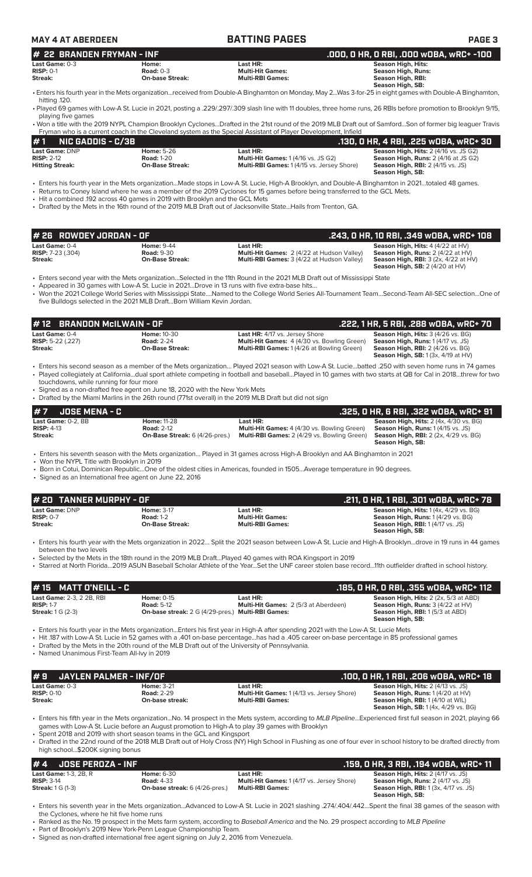| <b>MAY 4 AT ABERDEEN</b>                                                  |                                                                                 | <b>BATTING PAGES</b>                                                                                                                                                                                                                                     | <b>PAGE 3</b>                                                                                                                                                                                                                                                                                                                        |
|---------------------------------------------------------------------------|---------------------------------------------------------------------------------|----------------------------------------------------------------------------------------------------------------------------------------------------------------------------------------------------------------------------------------------------------|--------------------------------------------------------------------------------------------------------------------------------------------------------------------------------------------------------------------------------------------------------------------------------------------------------------------------------------|
| <b>22 BRANDEN FRYMAN - INF</b><br>#                                       |                                                                                 |                                                                                                                                                                                                                                                          | .000, 0 HR, 0 RBI, .000 w0BA, wRC+ -100                                                                                                                                                                                                                                                                                              |
| Last Game: 0-3<br><b>RISP: 0-1</b><br>Streak:                             | Home:<br><b>Road: 0-3</b><br><b>On-base Streak:</b>                             | Last HR:<br><b>Multi-Hit Games:</b><br><b>Multi-RBI Games:</b>                                                                                                                                                                                           | <b>Season High, Hits:</b><br><b>Season High, Runs:</b><br><b>Season High, RBI:</b>                                                                                                                                                                                                                                                   |
| hitting .120.                                                             |                                                                                 |                                                                                                                                                                                                                                                          | <b>Season High, SB:</b><br>• Enters his fourth year in the Mets organizationreceived from Double-A Binghamton on Monday, May 2Was 3-for-25 in eight games with Double-A Binghamton,                                                                                                                                                  |
| playing five games                                                        |                                                                                 |                                                                                                                                                                                                                                                          | • Played 69 games with Low-A St. Lucie in 2021, posting a .229/.297/.309 slash line with 11 doubles, three home runs, 26 RBIs before promotion to Brooklyn 9/15,                                                                                                                                                                     |
|                                                                           |                                                                                 | Fryman who is a current coach in the Cleveland system as the Special Assistant of Player Development, Infield                                                                                                                                            | • Won a title with the 2019 NYPL Champion Brooklyn CyclonesDrafted in the 21st round of the 2019 MLB Draft out of SamfordSon of former big leaguer Travis                                                                                                                                                                            |
| #1<br><b>NIC GADDIS - C/3B</b>                                            |                                                                                 |                                                                                                                                                                                                                                                          | .130, 0 HR, 4 RBI, .225 w0BA, wRC+ 30                                                                                                                                                                                                                                                                                                |
| Last Game: DNP<br><b>RISP: 2-12</b><br><b>Hitting Streak:</b>             | <b>Home: 5-26</b><br><b>Road: 1-20</b><br><b>On-Base Streak:</b>                | Last HR:<br><b>Multi-Hit Games: 1 (4/16 vs. JS G2)</b><br>Multi-RBI Games: 1 (4/15 vs. Jersey Shore)                                                                                                                                                     | Season High, Hits: 2 (4/16 vs. JS G2)<br>Season High, Runs: 2 (4/16 at JS G2)<br><b>Season High, RBI:</b> 2 (4/15 vs. JS)<br>Season High, SB:                                                                                                                                                                                        |
|                                                                           | • Hit a combined .192 across 40 games in 2019 with Brooklyn and the GCL Mets    | • Returns to Coney Island where he was a member of the 2019 Cyclones for 15 games before being transferred to the GCL Mets.<br>• Drafted by the Mets in the 16th round of the 2019 MLB Draft out of Jacksonville StateHails from Trenton, GA.            | • Enters his fourth year in the Mets organizationMade stops in Low-A St. Lucie, High-A Brooklyn, and Double-A Binghamton in 2021totaled 48 games.                                                                                                                                                                                    |
| # 26 ROWDEY JORDAN - OF                                                   |                                                                                 |                                                                                                                                                                                                                                                          | .243, 0 HR, 10 RBI, .349 w0BA, wRC+ 108                                                                                                                                                                                                                                                                                              |
| Last Game: 0-4<br><b>RISP:</b> 7-23 (.304)<br>Streak:                     | <b>Home: 9-44</b><br><b>Road: 9-30</b><br><b>On-Base Streak:</b>                | Last HR:<br>Multi-Hit Games: 2 (4/22 at Hudson Valley)<br>Multi-RBI Games: 3 (4/22 at Hudson Valley)                                                                                                                                                     | Season High, Hits: 4 (4/22 at HV)<br>Season High, Runs: 2 (4/22 at HV)<br><b>Season High, RBI: 3 (2x, 4/22 at HV)</b><br>Season High, SB: 2 (4/20 at HV)                                                                                                                                                                             |
|                                                                           | five Bulldogs selected in the 2021 MLB DraftBorn William Kevin Jordan.          | • Enters second year with the Mets organizationSelected in the 11th Round in the 2021 MLB Draft out of Mississippi State<br>• Appeared in 30 games with Low-A St. Lucie in 2021Drove in 13 runs with five extra-base hits                                | • Won the 2021 College World Series with Mississippi StateNamed to the College World Series All-Tournament TeamSecond-Team All-SEC selectionOne of                                                                                                                                                                                   |
| <b>BRANDON McILWAIN - OF</b><br># 12                                      |                                                                                 |                                                                                                                                                                                                                                                          | .222, 1 HR, 5 RBI, .288 wOBA, wRC+ 70                                                                                                                                                                                                                                                                                                |
| Last Game: 0-4<br><b>RISP:</b> 5-22 (.227)<br><b>Streak:</b>              | <b>Home: 10-30</b><br><b>Road: 2-24</b><br><b>On-Base Streak:</b>               | Last HR: 4/17 vs. Jersey Shore<br><b>Multi-Hit Games:</b> 4 (4/30 vs. Bowling Green)<br><b>Multi-RBI Games: 1 (4/26 at Bowling Green)</b>                                                                                                                | Season High, Hits: 3 (4/26 vs. BG)<br>Season High, Runs: 1 (4/17 vs. JS)<br><b>Season High, RBI:</b> 2 (4/26 vs. BG)<br>Season High, SB: 1 (3x, 4/19 at HV)                                                                                                                                                                          |
| touchdowns, while running for four more                                   |                                                                                 |                                                                                                                                                                                                                                                          | • Enters his second season as a member of the Mets organization Played 2021 season with Low-A St. Luciebatted .250 with seven home runs in 74 games<br>• Played collegiately at Californiadual sport athlete competing in football and baseballPlayed in 10 games with two starts at QB for Cal in 2018threw for two                 |
|                                                                           | • Signed as a non-drafted free agent on June 18, 2020 with the New York Mets    | • Drafted by the Miami Marlins in the 26th round (771st overall) in the 2019 MLB Draft but did not sign                                                                                                                                                  |                                                                                                                                                                                                                                                                                                                                      |
| # 7<br><b>JOSE MENA - C</b>                                               |                                                                                 |                                                                                                                                                                                                                                                          | .325, 0 HR, 6 RBI, .322 wOBA, wRC+ 91                                                                                                                                                                                                                                                                                                |
| Last Game: 0-2, BB<br><b>RISP: 4-13</b><br><b>Streak:</b>                 | <b>Home: 11-28</b><br><b>Road: 2-12</b><br>On-Base Streak: 6 (4/26-pres.)       | Last HR:<br>Multi-Hit Games: 4 (4/30 vs. Bowling Green)<br>Multi-RBI Games: 2 (4/29 vs. Bowling Green)                                                                                                                                                   | <b>Season High, Hits: 2 (4x, 4/30 vs. BG)</b><br>Season High, Runs: 1 (4/15 vs. JS)<br><b>Season High, RBI:</b> 2 (2x, 4/29 vs. BG)<br>Season High, SB:                                                                                                                                                                              |
| • Won the NYPL Title with Brooklyn in 2019                                | • Signed as an International free agent on June 22, 2016                        | • Enters his seventh season with the Mets organization Played in 31 games across High-A Brooklyn and AA Binghamton in 2021<br>• Born in Cotui, Dominican RepublicOne of the oldest cities in Americas, founded in 1505Average temperature in 90 degrees. |                                                                                                                                                                                                                                                                                                                                      |
| # 20 TANNER MURPHY - OF                                                   |                                                                                 |                                                                                                                                                                                                                                                          | .211, 0 HR, 1 RBI, .301 wOBA, wRC+ 78                                                                                                                                                                                                                                                                                                |
| Last Game: DNP                                                            | <b>Home: 3-17</b>                                                               | Last HR:                                                                                                                                                                                                                                                 | Season High, Hits: 1 (4x, 4/29 vs. BG)                                                                                                                                                                                                                                                                                               |
| <b>RISP: 0-7</b><br>Streak:                                               | <b>Road: 1-2</b><br><b>On-Base Streak:</b>                                      | <b>Multi-Hit Games:</b><br><b>Multi-RBI Games:</b>                                                                                                                                                                                                       | Season High, Runs: 1 (4/29 vs. BG)<br><b>Season High, RBI:</b> 1 (4/17 vs. JS)<br>Season High, SB:                                                                                                                                                                                                                                   |
| between the two levels                                                    |                                                                                 | • Selected by the Mets in the 18th round in the 2019 MLB DraftPlayed 40 games with ROA Kingsport in 2019                                                                                                                                                 | · Enters his fourth year with the Mets organization in 2022 Split the 2021 season between Low-A St. Lucie and High-A Brooklyndrove in 19 runs in 44 games<br>· Starred at North Florida2019 ASUN Baseball Scholar Athlete of the YearSet the UNF career stolen base record11th outfielder drafted in school history.                 |
| #15 MATT D'NEILL - C                                                      |                                                                                 |                                                                                                                                                                                                                                                          | .185, 0 HR, 0 RBI, .355 w0BA, wRC+ 112                                                                                                                                                                                                                                                                                               |
| Last Game: 2-3, 2 2B, RBI<br><b>RISP: 1-7</b><br><b>Streak:</b> 1 G (2-3) | <b>Home: 0-15</b><br><b>Road: 5-12</b>                                          | Last HR:<br>Multi-Hit Games: 2 (5/3 at Aberdeen)<br>On-base streak: 2 G (4/29-pres.) Multi-RBI Games:                                                                                                                                                    | Season High, Hits: 2 (2x, 5/3 at ABD)<br>Season High, Runs: 3 (4/22 at HV)<br><b>Season High, RBI:</b> 1(5/3 at ABD)<br>Season High, SB:                                                                                                                                                                                             |
| • Named Unanimous First-Team All-lvy in 2019                              |                                                                                 | • Enters his fourth year in the Mets organizationEnters his first year in High-A after spending 2021 with the Low-A St. Lucie Mets<br>• Drafted by the Mets in the 20th round of the MLB Draft out of the University of Pennsylvania.                    | • Hit 187 with Low-A St. Lucie in 52 games with a .401 on-base percentagehas had a .405 career on-base percentage in 85 professional games                                                                                                                                                                                           |
| JAYLEN PALMER - INF/OF<br>#9                                              |                                                                                 |                                                                                                                                                                                                                                                          | .100, 0 HR, 1 RBI, .206 w0BA, wRC+ 18                                                                                                                                                                                                                                                                                                |
| Last Game: 0-3<br><b>RISP: 0-10</b><br>Streak:                            | <b>Home: 3-21</b><br><b>Road: 2-29</b><br>On-base streak:                       | Last HR:<br>Multi-Hit Games: 1 (4/13 vs. Jersey Shore)<br><b>Multi-RBI Games:</b>                                                                                                                                                                        | Season High, Hits: 2 (4/13 vs. JS)<br>Season High, Runs: 1 (4/20 at HV)<br>Season High, RBI: 1 (4/10 at WIL)<br><b>Season High, SB:</b> 1 (4x, 4/29 vs. BG)                                                                                                                                                                          |
| high school\$200K signing bonus                                           | • Spent 2018 and 2019 with short season teams in the GCL and Kingsport          | games with Low-A St. Lucie before an August promotion to High-A to play 39 games with Brooklyn                                                                                                                                                           | • Enters his fifth year in the Mets organizationNo. 14 prospect in the Mets system, according to MLB PipelineExperienced first full season in 2021, playing 66<br>• Drafted in the 22nd round of the 2018 MLB Draft out of Holy Cross (NY) High School in Flushing as one of four ever in school history to be drafted directly from |
| #4<br><b>JOSE PEROZA - INF</b>                                            |                                                                                 |                                                                                                                                                                                                                                                          | .159, 0 HR, 3 RBI, .194 wOBA, wRC+ 11                                                                                                                                                                                                                                                                                                |
| Last Game: 1-3, 2B, R<br><b>RISP: 3-14</b><br><b>Streak:</b> 1 G (1-3)    | <b>Home: 6-30</b><br><b>Road: 4-33</b><br><b>On-base streak:</b> 6 (4/26-pres.) | Last HR:<br>Multi-Hit Games: 1 (4/17 vs. Jersey Shore)<br><b>Multi-RBI Games:</b>                                                                                                                                                                        | Season High, Hits: 2 (4/17 vs. JS)<br>Season High, Runs: 2 (4/17 vs. JS)<br><b>Season High, RBI:</b> 1 (3x, 4/17 vs. JS)                                                                                                                                                                                                             |
| the Cyclones, where he hit five home runs                                 |                                                                                 |                                                                                                                                                                                                                                                          | Season High, SB:<br>. Enters his seventh year in the Mets organizationAdvanced to Low-A St. Lucie in 2021 slashing .274/.404/.442Spent the final 38 games of the season with                                                                                                                                                         |

• Signed as non-drafted international free agent signing on July 2, 2016 from Venezuela.

<sup>•</sup> Ranked as the No. 19 prospect in the Mets farm system, according to *Baseball America* and the No. 29 prospect according to *MLB Pipeline*

<sup>•</sup> Part of Brooklyn's 2019 New York-Penn League Championship Team.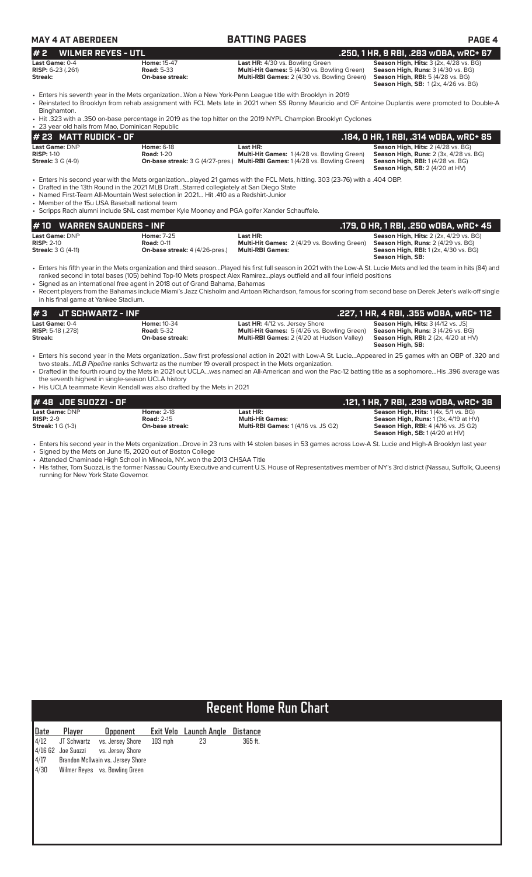| MAY 4 AT ABERDEEN |
|-------------------|
|-------------------|

| <b>MAY 4 AT ABERDEEN</b>                                         |                                                                                                                                                                                                                                                                                | <b>BATTING PAGES</b>                                                                                                                                                                                                                                                   | PAGE 4                                                                                                                                                                 |
|------------------------------------------------------------------|--------------------------------------------------------------------------------------------------------------------------------------------------------------------------------------------------------------------------------------------------------------------------------|------------------------------------------------------------------------------------------------------------------------------------------------------------------------------------------------------------------------------------------------------------------------|------------------------------------------------------------------------------------------------------------------------------------------------------------------------|
| <b>WILMER REYES - UTL</b><br>#2                                  |                                                                                                                                                                                                                                                                                |                                                                                                                                                                                                                                                                        | .250, 1 HR, 9 RBI, .283 wOBA, wRC+ 67                                                                                                                                  |
| Last Game: 0-4<br><b>RISP:</b> 6-23 (.261)<br>Streak:            | <b>Home: 15-47</b><br><b>Road: 5-33</b><br>On-base streak:                                                                                                                                                                                                                     | Last HR: 4/30 vs. Bowling Green<br>Multi-Hit Games: 5 (4/30 vs. Bowling Green)<br>Multi-RBI Games: 2 (4/30 vs. Bowling Green)                                                                                                                                          | Season High, Hits: 3 (2x, 4/28 vs. BG)<br>Season High, Runs: 3 (4/30 vs. BG)<br><b>Season High, RBI: 5 (4/28 vs. BG)</b><br><b>Season High, SB: 1(2x, 4/26 vs. BG)</b> |
| Binghamton.<br>• 23 year old hails from Mao, Dominican Republic  | • Enters his seventh year in the Mets organizationWon a New York-Penn League title with Brooklyn in 2019                                                                                                                                                                       | • Reinstated to Brooklyn from rehab assignment with FCL Mets late in 2021 when SS Ronny Mauricio and OF Antoine Duplantis were promoted to Double-A<br>· Hit .323 with a .350 on-base percentage in 2019 as the top hitter on the 2019 NYPL Champion Brooklyn Cyclones |                                                                                                                                                                        |
| # 23 MATT RUDICK - OF                                            |                                                                                                                                                                                                                                                                                |                                                                                                                                                                                                                                                                        | .184, 0 HR, 1 RBI, .314 wOBA, wRC+ 85                                                                                                                                  |
| Last Game: DNP<br>$RISP: 1-10$<br><b>Streak: 3 G (4-9)</b>       | <b>Home: 6-18</b><br><b>Road: 1-20</b>                                                                                                                                                                                                                                         | Last HR:<br>Multi-Hit Games: 1 (4/28 vs. Bowling Green)<br><b>On-base streak:</b> 3 G (4/27-pres.) Multi-RBI Games: 1 (4/28 vs. Bowling Green)                                                                                                                         | Season High, Hits: 2 (4/28 vs. BG)<br><b>Season High, Runs: 2 (3x, 4/28 vs. BG)</b><br>Season High, RBI: 1(4/28 vs. BG)<br><b>Season High, SB: 2 (4/20 at HV)</b>      |
| • Member of the 15u USA Baseball national team                   | • Drafted in the 13th Round in the 2021 MLB DraftStarred collegiately at San Diego State<br>• Named First-Team All-Mountain West selection in 2021 Hit 410 as a Redshirt-Junior<br>• Scripps Rach alumni include SNL cast member Kyle Mooney and PGA golfer Xander Schauffele. | • Enters his second year with the Mets organizationplayed 21 games with the FCL Mets, hitting. 303 (23-76) with a .404 OBP.                                                                                                                                            |                                                                                                                                                                        |
| <b>WARREN SAUNDERS - INF</b><br># 10                             |                                                                                                                                                                                                                                                                                |                                                                                                                                                                                                                                                                        | .179, 0 HR, 1 RBI, .250 w0BA, wRC+ 45                                                                                                                                  |
| Last Game: DNP<br><b>RISP: 2-10</b><br><b>Streak:</b> 3 G (4-11) | <b>Home: 7-25</b><br><b>Road: 0-11</b><br><b>On-base streak:</b> 4 (4/26-pres.)                                                                                                                                                                                                | Last HR:<br>Multi-Hit Games: 2 (4/29 vs. Bowling Green)<br><b>Multi-RBI Games:</b>                                                                                                                                                                                     | Season High, Hits: 2 (2x, 4/29 vs. BG)<br>Season High, Runs: 2 (4/29 vs. BG)<br>Season High, RBI: 1 (2x, 4/30 vs. BG)<br>Season High, SB:                              |

• Enters his fifth year in the Mets organization and third season…Played his first full season in 2021 with the Low-A St. Lucie Mets and led the team in hits (84) and ranked second in total bases (105) behind Top-10 Mets prospect Alex Ramirez…plays outfield and all four infield positions

• Signed as an international free agent in 2018 out of Grand Bahama, Bahamas

• Recent players from the Bahamas include Miami's Jazz Chisholm and Antoan Richardson, famous for scoring from second base on Derek Jeter's walk-off single in his final game at Yankee Stadium.

| I#3<br>JT SCHWARTZ - INF                                |                                                            |                                                                                                                                           |                                                                                                                                                        |
|---------------------------------------------------------|------------------------------------------------------------|-------------------------------------------------------------------------------------------------------------------------------------------|--------------------------------------------------------------------------------------------------------------------------------------------------------|
| Last Game: 0-4<br><b>RISP:</b> 5-18 $(.278)$<br>Streak: | <b>Home: 10-34</b><br><b>Road: 5-32</b><br>On-base streak: | <b>Last HR: 4/12 vs. Jersey Shore</b><br><b>Multi-Hit Games:</b> 5 (4/26 vs. Bowling Green)<br>Multi-RBI Games: 2 (4/20 at Hudson Valley) | <b>Season High, Hits: 3 (4/12 vs. JS)</b><br>Season High, Runs: 3 (4/26 vs. BG)<br><b>Season High, RBI:</b> $2$ (2x, $4/20$ at HV)<br>Season High, SB: |

• Enters his second year in the Mets organization…Saw first professional action in 2021 with Low-A St. Lucie…Appeared in 25 games with an OBP of .320 and two steals...*MLB Pipeline* ranks Schwartz as the number 19 overall prospect in the Mets organization.

• Drafted in the fourth round by the Mets in 2021 out UCLA…was named an All-American and won the Pac-12 batting title as a sophomore…His .396 average was the seventh highest in single-season UCLA history

• His UCLA teammate Kevin Kendall was also drafted by the Mets in 2021

| $#$ 48 JOE SUOZZI - OF              |                   |                                            | .121, 1 HR, 7 RBI, .239 wOBA, wRC+ 38                 |
|-------------------------------------|-------------------|--------------------------------------------|-------------------------------------------------------|
| Last Game: DNP                      | <b>Home: 2-18</b> | Last HR:                                   | <b>Season High, Hits:</b> $1(4x, 5/1 \text{ vs. BG})$ |
| $RISP: 2-9$                         | <b>Road: 2-15</b> | <b>Multi-Hit Games:</b>                    | <b>Season High, Runs:</b> $1(3x, 4/19$ at $HV$ )      |
| <b>Streak:</b> $1 \text{ G } (1-3)$ | On-base streak:   | <b>Multi-RBI Games: 1 (4/16 vs. JS G2)</b> | <b>Season High, RBI: 4 (4/16 vs. JS G2)</b>           |
|                                     |                   |                                            | <b>Season High, SB:</b> $1(4/20$ at $HV$ )            |

• Enters his second year in the Mets organization...Drove in 23 runs with 14 stolen bases in 53 games across Low-A St. Lucie and High-A Brooklyn last year

• Signed by the Mets on June 15, 2020 out of Boston College • Attended Chaminade High School in Mineola, NY...won the 2013 CHSAA Title

• His father, Tom Suozzi, is the former Nassau County Executive and current U.S. House of Representatives member of NY's 3rd district (Nassau, Suffolk, Queens) running for New York State Governor.

# **Recent Home Run Chart**

| Date | Player      | Opponent                            |         | Exit Velo Launch Angle Distance |         |
|------|-------------|-------------------------------------|---------|---------------------------------|---------|
| 4/12 | JT Schwartz | vs. Jersey Shore                    | 103 mph | 23                              | 365 ft. |
|      |             | 4/16 G2 Joe Suozzi vs. Jersey Shore |         |                                 |         |
| 4/17 |             | Brandon McIlwain vs. Jersey Shore   |         |                                 |         |
| 4/30 |             | Wilmer Reves vs. Bowling Green      |         |                                 |         |
|      |             |                                     |         |                                 |         |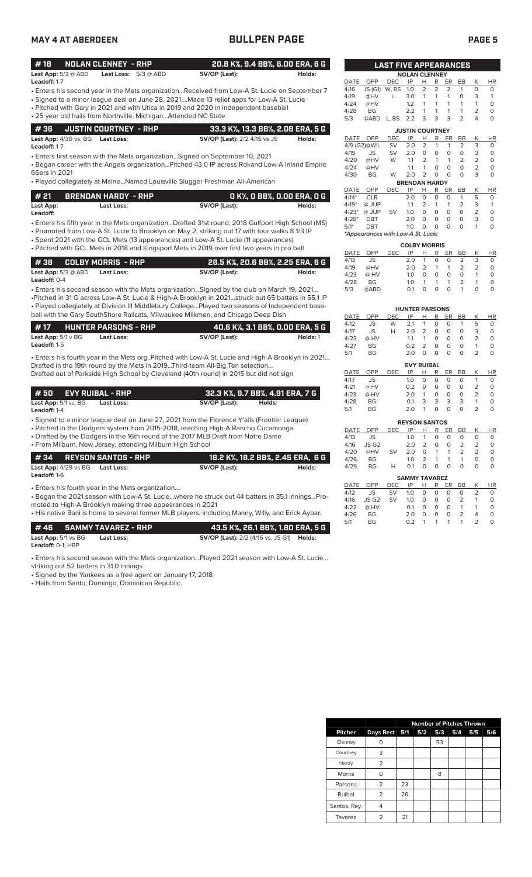### **MAY 4 AT ABERDEEN BULLPEN PAGE PAGE 5**

|--|

| #18                        | NOLAN CLENNEY - RHP           | 20.8 K%, 9.4 BB%, 6.00 ERA, 6 G |        |
|----------------------------|-------------------------------|---------------------------------|--------|
| <b>Last App:</b> 5/3 @ ABD | <b>Last Loss:</b> $5/3 @ ABD$ | SV/OP (Last):                   | Holds: |

- Enters his second year in the Mets organization...Received from Low-A St. Lucie on September 7 **Leadoff:** 1-7
- Signed to a minor league deal on June 28, 2021....Made 13 relief apps for Low-A St. Lucie
- Pitched with Gary in 2021 and with Utica in 2019 and 2020 in independent baseball • 25 year old hails from Northville, Michigan...Attended NC State

|  | 4 36     JUSTIN COURTNEY - RHP   | 33.3 K%, 13.3 BB%, 2.08 ERA, 5 G    |        |
|--|----------------------------------|-------------------------------------|--------|
|  | Last App: 4/30 vs. BG Last Loss: | <b>SV/OP (Last):</b> 2/2 4/15 vs JS | Holds: |

**Leadoff:** 1-7

• Enters first season with the Mets organization…Signed on September 10, 2021

• Began career with the Angels organization…Pitched 43.0 IP across Rokand Low-A Inland Empire 66ers in 2021

• Played collegiately at Maine…Named Louisville Slugger Freshman All-American

| # 21      | <b>BRENDAN HARDY - RHP</b> | O K%, O BB%, O.OO ERA, O G |        |
|-----------|----------------------------|----------------------------|--------|
| Last App: | Last Loss:                 | SV/OP (Last):              | Holds: |

• Enters his fifth year in the Mets organization...Drafted 31st round, 2018 Gulfport High School (MS) **Leadoff:**

• Promoted from Low-A St. Lucie to Brooklyn on May 2, striking out 17 with four walks 8 1/3 IP

• Spent 2021 with the GCL Mets (13 appearances) and Low-A St. Lucie (11 appearances) • Pitched with GCL Mets in 2018 and Kingsport Mets in 2019 over first two years in pro ball

|                              | 1 # 38      COLBY MORRIS  - RHP | 26.5 K%, 20.6 BB%, 2.25 ERA, 6 G |        |
|------------------------------|---------------------------------|----------------------------------|--------|
| <b>Last App:</b> $5/3$ @ ABD | Last Loss:                      | SV/OP (Last):                    | Holds: |
| <b>Leadoff:</b> $0-4$        |                                 |                                  |        |

• Enters his second season with the Mets organization…Signed by the club on March 19, 2021… •Pitched in 31 G across Low-A St. Lucie & High-A Brooklyn in 2021…struck out 65 batters in 55.1 IP • Played collegiately at Division III Middlebury College…Played two seasons of Independent baseball with the Gary SouthShore Railcats, Milwaukee Milkmen, and Chicago Deep Dish

| #17                            | <b>HUNTER PARSONS - RHP</b> | 40.6 K%, 3.1 BB%, 0.00 ERA, 5 G |          |
|--------------------------------|-----------------------------|---------------------------------|----------|
| <b>Last App:</b> $5/1 \vee BG$ | Last Loss:                  | SV/OP (Last):                   | Holds: 1 |
| <b>Leadoff:</b> 1-5            |                             |                                 |          |

• Enters his fourth year in the Mets org..Pitched with Low-A St. Lucie and High-A Brooklyn in 2021… Drafted in the 19th round by the Mets in 2019...Third-team All-Big Ten selection... Drafted out of Parkside High School by Cleveland (40th round) in 2015 but did not sign

| 1 # 50       EVY RUIBAL - RHP        |            |               | 32.3 K%, 9.7 BB%, 4.91 ERA, 7 G |
|--------------------------------------|------------|---------------|---------------------------------|
| <b>Last App:</b> $5/1$ vs. $BG$<br>. | Last Loss: | SV/OP (Last): | Holds:                          |

**Leadoff:** 1-4

• Signed to a minor league deal on June 27, 2021 from the Florence Y'alls (Frontier League)

• Pitched in the Dodgers system from 2015-2018, reaching High-A Rancho Cucamonga

• Drafted by the Dodgers in the 16th round of the 2017 MLB Draft from Notre Dame

|                                                                        | • From Milburn, New Jersey, attending Milburn High School                                                |                                       |        |
|------------------------------------------------------------------------|----------------------------------------------------------------------------------------------------------|---------------------------------------|--------|
| # 34      REYSON SANTOS - RHP                                          |                                                                                                          | ' 18.2 K%, 18.2 BB%, 2.45 ERA,  6 G , |        |
| <b>Last App:</b> 4/29 vs BG <b>Last Loss:</b><br><b>Leadoff:</b> $1-6$ |                                                                                                          | SV/OP (Last):                         | Holds: |
| • Enters his fourth year in the Mets organization                      | $\alpha$ Rogan the 2021 season with Low A St. Lucie, where he struck out AA batters in 351 innings. Pro- |                                       |        |

out 44 batters in 35.1 innings…Pro moted to High-A Brooklyn making three appearances in 2021

• His native Bani is home to several former MLB players, including Manny, Willy, and Erick Aybar.

|                                       | <b>#46 SAMMYTAVAREZ - RHP</b> | 43.5 K%, 26.1 BB%, 1.80 ERA, 5 G ,                      |  |
|---------------------------------------|-------------------------------|---------------------------------------------------------|--|
| <b>Last App:</b> $5/1$ vs $BG$        | Last Loss:                    | <b>SV/OP (Last):</b> 2/2 (4/16 vs. JS G1) <b>Holds:</b> |  |
| <b>Leadoff: <math>0-1</math>. HBP</b> |                               |                                                         |  |

• Enters his second season with the Mets organization…Played 2021 season with Low-A St. Lucie…

striking out 52 batters in 31.0 innings

• Signed by the Yankees as a free agent on January 17, 2018

• Hails from Santo, Domingo, Dominican Republic.

|              |                                   | <b>LAST FIVE APPEARANCES</b> |                             |                |                |        |                |                |               |
|--------------|-----------------------------------|------------------------------|-----------------------------|----------------|----------------|--------|----------------|----------------|---------------|
|              |                                   |                              | <b>NOLAN CLENNEY</b>        |                |                |        |                |                |               |
| DATE         | OPP                               | <b>DEC</b>                   | IP                          | Н              | R              | ER     | <b>BB</b>      | K              | ΗR            |
| 4/16         | JS(G1)                            | W.BS                         | 1.0                         | $\overline{2}$ | $\overline{a}$ | 2      | 1              | 0              | 0             |
| 4/19         | @HV                               | L                            | 3.0                         | 1              | 1              | 1      | 0              | 3              | 1             |
| 4/24         | @HV                               |                              | 1.2                         | 1              | 1              | 1      | 1              | 1              | 0             |
| 4/28         | <b>BG</b>                         |                              | 2.2                         | 1              | 1              | 1      | 1              | $\overline{2}$ | 0             |
| 5/3          | @ABD                              | L, BS                        | 2.2                         | 3              | 3              | 3      | $\overline{2}$ | 4              | $\Omega$      |
|              |                                   |                              | <b>JUSTIN COURTNEY</b>      |                |                |        |                |                |               |
| <b>DATE</b>  | OPP                               | <b>DEC</b>                   | IP                          | Н              | R              | ER     | <b>BB</b>      | К              | <b>HR</b>     |
|              | 4/9 (G2)@WIL                      | SV                           | 2.0                         | 2              | 1              | 1      | 2              | 3              | 0             |
| 4/15         | <b>JS</b>                         | SV                           | 2.0                         | 0              | $\circ$        | O      | 0              | 3              | 0             |
| 4/20         | @HV                               | W                            | 1.1                         | $\overline{2}$ | 1              | 1      | $\overline{2}$ | $\overline{2}$ | 0             |
| 4/24         | @HV                               |                              | 1.1                         | 1              | 0              | 0      | 0              | $\overline{2}$ | 0             |
| 4/30         | <b>BG</b>                         | W                            | 2.0                         | $\overline{2}$ | 0              | O      | 0              | 3              | 0             |
|              |                                   |                              | <b>BRENDAN HARDY</b>        |                |                |        |                |                |               |
| <b>DATE</b>  | OPP                               | <b>DEC</b>                   | IP                          | Н              | R              | ER     | BB             | Κ              | <b>HR</b>     |
| $4/14*$      | <b>CLR</b>                        |                              | 2.0                         | 0              | 0              | 0      | 1              | 5              | 0             |
| $4/19*$      | @ JUP                             |                              | 1.1                         | $\overline{2}$ | 1              | 1      | $\overline{2}$ | 3              | 1             |
| $4/23*$      | @ JUP                             | <b>SV</b>                    | 1.0                         | 0              | 0              | 0      | O              | $\overline{2}$ | 0             |
| $4/28*$      | <b>DBT</b>                        |                              | 2.0                         | $\Omega$       | 0              | 0      | 0              | 3              | 0             |
| $5/1*$       | DBT                               |                              | 1.0                         | O              | 0              | 0      | 0              | 1              | 0             |
|              | *Appearances with Low-A St. Lucie |                              |                             |                |                |        |                |                |               |
|              |                                   |                              | <b>COLBY MORRIS</b>         |                |                |        |                |                |               |
| DATE         | OPP                               | DEC                          | IP                          | н              | R              | ER     | BB             | Κ              | ΗR            |
| 4/13         | JS                                |                              | 2.0                         | 1              | 0              | 0      | 2              | 3              | 0             |
| 4/19         | @HV                               |                              | 2.0                         | $\overline{2}$ | 1              | 1      | $\overline{2}$ | $\overline{2}$ | 0             |
| 4/23         | @ HV                              |                              | 1.0                         | O              | O              | 0      | 0              | 1              | 0             |
| 4/28         | <b>BG</b>                         |                              | 1.0                         | 1              | 1              | 1      | $\overline{2}$ | 1              | 0             |
| 5/3          | @ABD                              |                              | 0.1                         | 0              | 0              | O      | 1              | O              | 0             |
|              |                                   |                              |                             |                |                |        |                |                |               |
| <b>DATE</b>  | OPP                               | <b>DEC</b>                   | <b>HUNTER PARSONS</b><br>IP | Н              | R              | ER     | <b>BB</b>      | Κ              | HR            |
| 4/12         | JS                                | W                            | 2.1                         | 1              | O              | 0      | 1              | 5              | 0             |
| 4/17         | <b>JS</b>                         | н                            | 2.0                         | $\overline{2}$ | 0              | 0      | $\Omega$       | 3              | 0             |
| 4/23         | @ HV                              |                              | 1.1                         | 1              | 0              | 0      | 0              | 2              | 0             |
| 4/27         | <b>BG</b>                         |                              | 0.2                         | $\overline{2}$ | 0              | O      | 0              | 1              | 0             |
|              | <b>BG</b>                         |                              | 2.0                         | 0              | O              | 0      | 0              | $\overline{2}$ | 0             |
| 5/1          |                                   |                              |                             |                |                |        |                |                |               |
|              |                                   |                              | <b>EVY RUIBAL</b>           |                |                |        | <b>BB</b>      | Κ              | <b>HR</b>     |
| DATE<br>4/17 | OPP<br>JS                         | DEC                          | IP<br>1.0                   | н              | R              | ER     |                | 1              |               |
| 4/21         | @HV                               |                              | 0.2                         | 0<br>$\Omega$  | 0<br>0         | 0<br>0 | 0<br>0         | $\overline{2}$ | 0<br>$\Omega$ |
|              |                                   |                              |                             |                |                |        |                |                |               |

|             |           |     | <b>REYSON SANTOS</b> |   |                                    |                                    |    |              |           |
|-------------|-----------|-----|----------------------|---|------------------------------------|------------------------------------|----|--------------|-----------|
| <b>DATE</b> | OPP       | DEC | IP                   | н | R                                  | ER                                 | BB |              | <b>HR</b> |
| 4/13        | JS        |     | 1 <sub>O</sub>       |   | O                                  | O                                  | O  | $\mathbf{O}$ | O         |
| 4/16        | JS G2     |     | 2 O                  | 2 | O                                  | O                                  | 2  |              | O         |
| 4/20        | @HV       | SV  | 2.0                  | O | 1                                  | 1                                  | 2  |              |           |
| 4/26        | <b>BG</b> |     | 10                   | 2 |                                    | 1                                  | 1  | O            | O         |
| 4/29        | ВG        | н   | O 1                  | O | $\scriptstyle\rm\scriptstyle{(1)}$ | $\scriptstyle\rm\scriptstyle{(1)}$ | O  |              | O         |

4/23 @ HV 2.0 1 0 0 0 2 0 4/28 BG 0.1 3 3 3 3 1 0 5/1 BG 2.0 1 0 0 0 2 0

|      |                   |           | <b>SAMMY TAVAREZ</b> |   |          |          |                |   |           |
|------|-------------------|-----------|----------------------|---|----------|----------|----------------|---|-----------|
| DATE | OPP               | DEC.      | IP                   | н |          | R ER BB  |                | K | <b>HR</b> |
| 4/12 | JS.               | <b>SV</b> | 1.0                  | 0 | 0        | $\Omega$ | 0              |   |           |
| 4/16 | JS G <sub>2</sub> | <b>SV</b> | 1.0                  | 0 | $\Omega$ | $\Omega$ | 2              |   | O         |
| 4/22 | @ HV              |           | O 1                  | O | $\Omega$ | $\Omega$ | $\overline{1}$ |   |           |
| 4/26 | <b>RG</b>         |           | 2 O                  | O | O        | O        | 2              | 4 |           |
| 5/1  | <b>RG</b>         |           | ሰ 2                  |   | 1        | 1        | 1              |   |           |

|                | <b>Number of Pitches Thrown</b> |    |     |     |     |     |     |
|----------------|---------------------------------|----|-----|-----|-----|-----|-----|
| <b>Pitcher</b> | Days Rest 5/1                   |    | 5/2 | 5/3 | 5/4 | 5/5 | 5/6 |
| Clenney        |                                 |    |     | 53  |     |     |     |
| Courtney       | 3                               |    |     |     |     |     |     |
| Hardy          | 2                               |    |     |     |     |     |     |
| <b>Morris</b>  |                                 |    |     | 8   |     |     |     |
| Parsons        | $\overline{2}$                  | 23 |     |     |     |     |     |
| Ruibal         | 2                               | 26 |     |     |     |     |     |
| Santos, Rey.   |                                 |    |     |     |     |     |     |
| Tavarez        |                                 | 21 |     |     |     |     |     |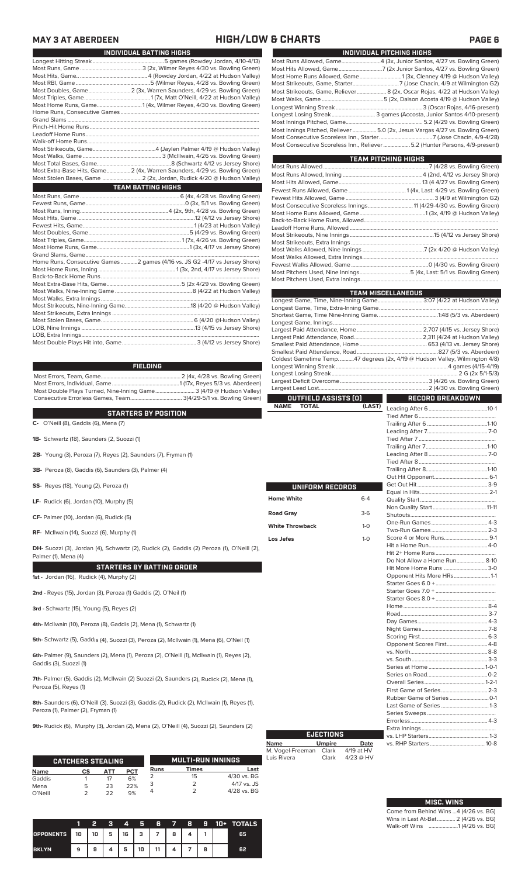### **MAY 3 AT ABERDEEN HIGH/LOW & CHARTS PAGE 6**

| INDIVIDUAL BATTING HIGHS |                                                                             |  |  |  |  |  |
|--------------------------|-----------------------------------------------------------------------------|--|--|--|--|--|
|                          |                                                                             |  |  |  |  |  |
|                          |                                                                             |  |  |  |  |  |
|                          |                                                                             |  |  |  |  |  |
|                          |                                                                             |  |  |  |  |  |
|                          | Most Doubles, Game 2 (3x, Warren Saunders, 4/29 vs. Bowling Green)          |  |  |  |  |  |
|                          |                                                                             |  |  |  |  |  |
|                          |                                                                             |  |  |  |  |  |
|                          |                                                                             |  |  |  |  |  |
|                          |                                                                             |  |  |  |  |  |
|                          |                                                                             |  |  |  |  |  |
|                          |                                                                             |  |  |  |  |  |
|                          |                                                                             |  |  |  |  |  |
|                          |                                                                             |  |  |  |  |  |
|                          |                                                                             |  |  |  |  |  |
|                          |                                                                             |  |  |  |  |  |
|                          | Most Extra-Base Hits, Game 2 (4x, Warren Saunders, 4/29 vs. Bowling Green)  |  |  |  |  |  |
|                          | Most Stolen Bases, Game  2 (2x, Jordan, Rudick 4/20 @ Hudson Valley)        |  |  |  |  |  |
|                          | <b>TEAM BATTING HIGHS</b>                                                   |  |  |  |  |  |
|                          |                                                                             |  |  |  |  |  |
|                          |                                                                             |  |  |  |  |  |
|                          |                                                                             |  |  |  |  |  |
|                          |                                                                             |  |  |  |  |  |
|                          |                                                                             |  |  |  |  |  |
|                          |                                                                             |  |  |  |  |  |
|                          |                                                                             |  |  |  |  |  |
|                          |                                                                             |  |  |  |  |  |
|                          |                                                                             |  |  |  |  |  |
|                          | Home Runs, Consecutive Games 2 games (4/16 vs. JS G2 -4/17 vs Jersey Shore) |  |  |  |  |  |
|                          |                                                                             |  |  |  |  |  |
|                          |                                                                             |  |  |  |  |  |
|                          |                                                                             |  |  |  |  |  |
|                          |                                                                             |  |  |  |  |  |
|                          |                                                                             |  |  |  |  |  |
|                          |                                                                             |  |  |  |  |  |
|                          |                                                                             |  |  |  |  |  |
|                          |                                                                             |  |  |  |  |  |
|                          |                                                                             |  |  |  |  |  |
|                          |                                                                             |  |  |  |  |  |
|                          |                                                                             |  |  |  |  |  |

| FIELDING.                                                           |  |
|---------------------------------------------------------------------|--|
|                                                                     |  |
|                                                                     |  |
| Most Double Plays Turned, Nine-Inning Game 3 (4/19 @ Hudson Valley) |  |
|                                                                     |  |

### **STARTERS BY POSITION**

**C-** O'Neill (8), Gaddis (6), Mena (7)

**1B-** Schwartz (18), Saunders (2, Suozzi (1)

- **2B-** Young (3), Peroza (7), Reyes (2), Saunders (7), Fryman (1)
- **3B-** Peroza (8), Gaddis (6), Saunders (3), Palmer (4)
- **SS-** Reyes (18), Young (2), Peroza (1)
- **LF-** Rudick (6), Jordan (10), Murphy (5)
- **CF-** Palmer (10), Jordan (6), Rudick (5)

**RF-** McIlwain (14), Suozzi (6), Murphy (1)

**DH-** Suozzi (3), Jordan (4), Schwartz (2), Rudick (2), Gaddis (2) Peroza (1), O'Neill (2), Palmer (1), Mena (4)

### **STARTERS BY BATTING ORDER**

**1st -** Jordan (16), Rudick (4), Murphy (2)

**2nd -** Reyes (15), Jordan (3), Peroza (1) Gaddis (2). O'Neil (1)

**3rd -** Schwartz (15), Young (5), Reyes (2)

**4th-** McIlwain (10), Peroza (8), Gaddis (2), Mena (1), Schwartz (1)

**5th-** Schwartz (5), Gaddis (4), Suozzi (3), Peroza (2), McIlwain (1), Mena (6), O'Neil (1)

**6th-** Palmer (9), Saunders (2), Mena (1), Peroza (2), O'Neill (1), McIlwain (1), Reyes (2), Gaddis (3), Suozzi (1)

**7th-** Palmer (5), Gaddis (2), McIlwain (2) Suozzi (2), Saunders (2), Rudick (2), Mena (1), Peroza (5), Reyes (1)

**8th-** Saunders (6), O'Neill (3), Suozzi (3), Gaddis (2), Rudick (2), McIlwain (1), Reyes (1), Peroza (1), Palmer (2), Fryman (1)

**9th-** Rudick (6), Murphy (3), Jordan (2), Mena (2), O'Neill (4), Suozzi (2), Saunders (2)

|             | <b>CATCHERS STEALING</b> |     |            |             | <b>MULTI-RUN INNINGS</b> |               |
|-------------|--------------------------|-----|------------|-------------|--------------------------|---------------|
| <b>Name</b> | СS                       | АТТ | <b>PCT</b> | <b>Runs</b> | Times                    | Last          |
| Gaddis      |                          |     | 6%         |             | 15                       | $4/30$ vs. BG |
| Mena        | 5                        | 23  | 22%        |             |                          | $4/17$ vs. JS |
| O'Neill     |                          | つつ  | 9%         |             |                          | $4/28$ vs. BG |

|                  |    | 2           | я | 4 | Я  | 6      | $\rightarrow$ | 8 | -9 | 10 D | <b>TOTALS</b> |
|------------------|----|-------------|---|---|----|--------|---------------|---|----|------|---------------|
| <b>OPPONENTS</b> | 10 | $10 \mid 5$ |   |   |    | 16 3 7 | 8             |   |    |      | 65            |
| <b>BKLYN</b>     | 9  | 9           |   | 5 | 10 | 11     |               |   | 8  |      | 62            |

| INDIVIDUAL PITCHING HIGHS                                                                                                                                    |
|--------------------------------------------------------------------------------------------------------------------------------------------------------------|
|                                                                                                                                                              |
|                                                                                                                                                              |
|                                                                                                                                                              |
|                                                                                                                                                              |
| Most Strikeouts, Game, Reliever 8 (2x, Oscar Rojas, 4/22 at Hudson Valley)                                                                                   |
|                                                                                                                                                              |
|                                                                                                                                                              |
|                                                                                                                                                              |
|                                                                                                                                                              |
| Most Innings Pitched, Reliever 5.0 (2x, Jesus Vargas 4/27 vs. Bowling Green)<br>Most Consecutive Scoreless Inn., Reliever  5.2 (Hunter Parsons, 4/9-present) |

| <b>TEAM PITCHING HIGHS</b>                                          |  |  |  |  |  |  |  |
|---------------------------------------------------------------------|--|--|--|--|--|--|--|
|                                                                     |  |  |  |  |  |  |  |
|                                                                     |  |  |  |  |  |  |  |
|                                                                     |  |  |  |  |  |  |  |
|                                                                     |  |  |  |  |  |  |  |
|                                                                     |  |  |  |  |  |  |  |
| Most Consecutive Scoreless Innings 11 (4/29-4/30 vs. Bowling Green) |  |  |  |  |  |  |  |
|                                                                     |  |  |  |  |  |  |  |
|                                                                     |  |  |  |  |  |  |  |
|                                                                     |  |  |  |  |  |  |  |
|                                                                     |  |  |  |  |  |  |  |
|                                                                     |  |  |  |  |  |  |  |
|                                                                     |  |  |  |  |  |  |  |
|                                                                     |  |  |  |  |  |  |  |
|                                                                     |  |  |  |  |  |  |  |
|                                                                     |  |  |  |  |  |  |  |
|                                                                     |  |  |  |  |  |  |  |

|                             |         | <b>TEAM MISCELLANEOUS</b>                                                    |  |
|-----------------------------|---------|------------------------------------------------------------------------------|--|
|                             |         | Longest Game, Time, Nine-Inning Game 3:07 (4/22 at Hudson Valley)            |  |
|                             |         |                                                                              |  |
|                             |         |                                                                              |  |
|                             |         |                                                                              |  |
|                             |         |                                                                              |  |
|                             |         |                                                                              |  |
|                             |         |                                                                              |  |
|                             |         |                                                                              |  |
|                             |         | Coldest Gametime Temp. 47 degrees (2x, 4/19 @ Hudson Valley, Wilmington 4/8) |  |
|                             |         |                                                                              |  |
|                             |         |                                                                              |  |
|                             |         |                                                                              |  |
|                             |         |                                                                              |  |
| <b>OUTFIELD ASSISTS (O)</b> |         | RECORD BREAKDOWN                                                             |  |
| <b>NAME</b><br><b>TOTAL</b> | (LAST)  |                                                                              |  |
|                             |         |                                                                              |  |
|                             |         |                                                                              |  |
|                             |         |                                                                              |  |
|                             |         |                                                                              |  |
|                             |         |                                                                              |  |
|                             |         |                                                                              |  |
|                             |         |                                                                              |  |
|                             |         |                                                                              |  |
|                             |         |                                                                              |  |
| UNIFORM RECORDS             |         |                                                                              |  |
|                             |         |                                                                              |  |
| <b>Home White</b>           | $6 - 4$ |                                                                              |  |
|                             |         |                                                                              |  |
| Road Gray                   | $3-6$   |                                                                              |  |
| <b>White Throwback</b>      | $1 - 0$ |                                                                              |  |
|                             |         |                                                                              |  |
| Los Jefes                   | $1-0$   |                                                                              |  |
|                             |         |                                                                              |  |
|                             |         |                                                                              |  |
|                             |         | Do Not Allow a Home Run 8-10                                                 |  |
|                             |         | Hit More Home Runs 3-0                                                       |  |
|                             |         | Opponent Hits More HRs 1-1                                                   |  |
|                             |         |                                                                              |  |
|                             |         |                                                                              |  |
|                             |         |                                                                              |  |
|                             |         |                                                                              |  |
|                             |         |                                                                              |  |
|                             |         |                                                                              |  |
|                             |         |                                                                              |  |
|                             |         |                                                                              |  |
|                             |         | Opponent Scores First 4-8                                                    |  |
|                             |         |                                                                              |  |
|                             |         |                                                                              |  |
|                             |         |                                                                              |  |
|                             |         |                                                                              |  |

| <b>EJECTIONS</b> |               |             |  |  |  |  |  |  |  |
|------------------|---------------|-------------|--|--|--|--|--|--|--|
| <b>Name</b>      | <b>Umpire</b> | Date        |  |  |  |  |  |  |  |
| M. Vogel-Freeman | Clark         | 4/19 at HV  |  |  |  |  |  |  |  |
| Luis Rivera      | Clark         | $4/23$ @ HV |  |  |  |  |  |  |  |

| <b>MISC. WINS</b>                      |
|----------------------------------------|
| Come from Behind Wins  4 (4/26 vs. BG) |
| Wins in Last At-Bat 2 (4/26 vs. BG)    |
| Walk-off Wins 1 (4/26 vs. BG)          |

Overall Series........................................... 1-2-1 First Game of Series .................................2-3 Rubber Game of Series ............................0-1 Last Game of Series ..................................1-3 Series Sweeps .................................................

Extra Innings .....................................................

vs. RHP Starters ....................................... 10-8

Errorless.

vs. LHP Starters.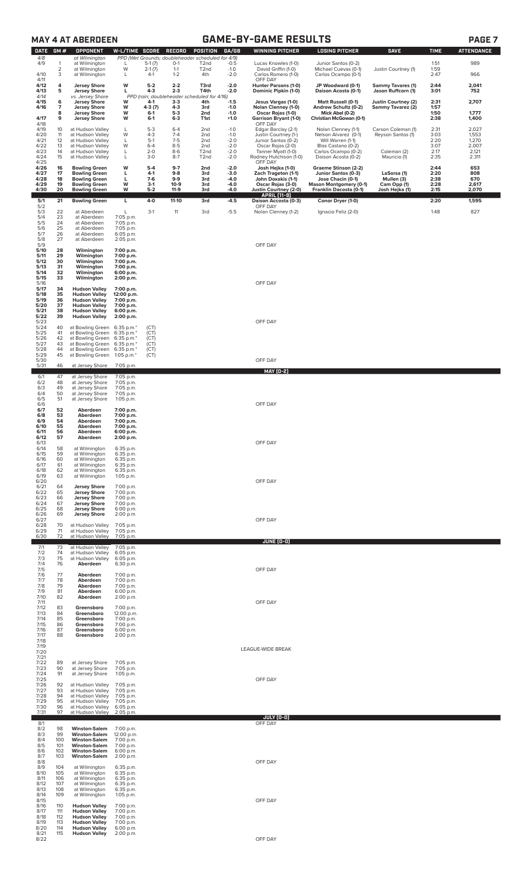|                                              |                                  | <b>MAY 4 AT ABERDEEN</b>                                                                                             |                                                                    |                               |                               |                                                                                                                |                            | <b>GAME-BY-GAME RESULTS</b>                                                    |                                                                              |                                                |                             | <b>PAGE 7</b>                   |
|----------------------------------------------|----------------------------------|----------------------------------------------------------------------------------------------------------------------|--------------------------------------------------------------------|-------------------------------|-------------------------------|----------------------------------------------------------------------------------------------------------------|----------------------------|--------------------------------------------------------------------------------|------------------------------------------------------------------------------|------------------------------------------------|-----------------------------|---------------------------------|
| <b>DATE</b><br>4/8<br>4/9                    | GM#<br>1<br>$\overline{2}$<br>3  | <b>OPPONENT</b><br>at Wilmington<br>at Wilmington<br>at Wilmington                                                   | W-L/TIME SCORE<br>L<br>W                                           | $5-1(7)$<br>$2-1(7)$<br>$4-1$ | RECORD<br>$O-1$<br>$1 - 1$    | POSITION<br>PPD (Wet Grounds; doubleheader scheduled for 4/9)<br>T <sub>2</sub> nd<br>T <sub>2</sub> nd<br>4th | GA/GB<br>$-0.5$<br>$-1.0$  | <b>WINNING PITCHER</b><br>Lucas Knowles (1-0)<br>David Griffin (1-0)           | <b>LOSING PITCHER</b><br>Junior Santos (0-2)<br>Michael Cuevas (0-1)         | <b>SAVE</b><br>Justin Courtney (1)             | <b>TIME</b><br>1:51<br>1:59 | <b>ATTENDANCE</b><br>989<br>966 |
| 4/10<br>4/11<br>4/12<br>4/13                 | 4<br>5                           | at Wilmington<br><b>Jersey Shore</b><br><b>Jersey Shore</b>                                                          | L<br>W<br>L                                                        | $5-2$<br>$4 - 3$              | $1 - 2$<br>$2 - 2$<br>$2 - 3$ | T3rd<br>T4th                                                                                                   | $-2.0$<br>$-2.0$<br>$-2.0$ | Carlos Romero (1-0)<br>OFF DAY<br>Hunter Parsons (1-0)<br>Dominic Pipkin (1-0) | Carlos Ocampo (0-1)<br>JP Woodward (0-1)<br>Daison Acosta (0-1)              | <b>Sammy Tavares (1)</b><br>Jason Ruffcorn (1) | 2:47<br>2:44<br>3:01        | 2,041<br>752                    |
| 4/14<br>4/15<br>4/16                         | 6<br>$\overline{7}$              | vs. Jersey Shore<br><b>Jersey Shore</b><br><b>Jersey Shore</b>                                                       | W<br>W                                                             | 4-1<br>4-3 (7)                | $3-3$<br>4-3                  | PPD (rain; doubleheader scheduled for 4/16)<br>4th<br>3rd                                                      | $-1.5$<br>$-1.0$           | Jesus Vargas (1-0)<br>Nolan Clenney (1-0)                                      | Matt Russell (0-1)<br>Andrew Schultz (0-2)                                   | Justin Courtney (2)<br>Sammy Tavarez (2)       | 2:31<br>1:57                | 2,707                           |
| 4/17<br>4/18                                 | 8<br>9                           | <b>Jersey Shore</b><br><b>Jersey Shore</b>                                                                           | W<br>W                                                             | $6-1$<br>$6 - 1$              | $5-3$<br>$6 - 3$              | 2nd<br>T1st                                                                                                    | $-1.0$<br>$+1.0$           | Oscar Rojas (1-0)<br>Garrison Bryant (1-0)<br>OFF DAY                          | Mick Abel (0-2)<br>Christian McGowan (0-1)                                   |                                                | 1:50<br>2:38                | 1,777<br>1,400                  |
| 4/19<br>4/20<br>4/21                         | 10<br>11<br>12                   | at Hudson Valley<br>at Hudson Valley<br>at Hudson Valley                                                             | L<br>W<br>L                                                        | $5-3$<br>$4 - 3$<br>$5-1$     | $6 - 4$<br>$7 - 4$<br>$7 - 5$ | 2nd<br>2 <sub>nd</sub><br>2 <sub>nd</sub>                                                                      | $-1.0$<br>$-1.0$<br>$-2.0$ | Edgar Barclay (2-1)<br>Justin Courtney (1-)<br>Junior Santos (0-2)             | Nolan Clenney (1-1)<br>Nelson Alvarez (0-1)<br>Will Warren (1-1)             | Carson Coleman (1)<br>Reyson Santos (1)        | 2:31<br>3:03<br>2:20        | 2,027<br>1,553<br>1,270         |
| 4/22<br>4/23<br>4/24                         | 13<br>14<br>15                   | at Hudson Valley<br>at Hudson Valley<br>at Hudson Valley                                                             | W<br>L<br>L                                                        | $6 - 4$<br>$2 - 0$<br>$3 - 0$ | $8 - 5$<br>$8-6$<br>$8 - 7$   | 2 <sub>nd</sub><br>T <sub>2</sub> nd<br>T <sub>2</sub> nd                                                      | $-2.0$<br>$-2.0$<br>$-2.0$ | Oscar Rojas (2-0)<br>Tanner Myatt (1-0)<br>Rodney Hutchison (1-0)              | Blas Castano (0-2)<br>Carlos Ocampo (0-2)<br>Daison Acosta (0-2)             | Coleman (2)<br>Mauricio (1)                    | 3:07<br>2:17<br>2:35        | 2,007<br>2,121<br>2.311         |
| 4/25<br>4/26<br>4/27                         | 16<br>17                         | <b>Bowling Green</b><br><b>Bowling Green</b>                                                                         | W<br>L                                                             | $5-4$<br>$4-1$                | $9 - 7$<br>$9-8$              | 2nd<br>3rd                                                                                                     | $-2.0$<br>$-3.0$           | OFF DAY<br>Josh Hejka (1-0)<br>Zach Trageton (1-1)                             | Graeme Stinson (2-2)<br>Junior Santos (0-3)                                  | LaSorsa (1)                                    | 2:44<br>2:20                | 653<br>808                      |
| 4/28<br>4/29<br>4/30                         | 18<br>19<br>20                   | <b>Bowling Green</b><br><b>Bowling Green</b><br><b>Bowling Green</b>                                                 | L<br>W<br>W                                                        | $7-6$<br>$3-1$<br>$5 - 2$     | 9-9<br>$10-9$<br>$11-9$       | 3rd<br>3rd<br>3rd                                                                                              | $-4.0$<br>$-4.0$<br>$-4.0$ | John Doxakis (1-1)<br>Oscar Rojas (3-0)<br>Justin Courtney (2-0)               | Jose Chacin (0-1)<br><b>Mason Montgomery (0-1)</b><br>Franklin Dacosta (0-1) | Mullen (3)<br>Cam Opp (1)<br>Josh Hejka (1)    | 2:38<br>2:28<br>2:15        | 670<br>2,617<br>2,070           |
| 5/1<br>5/2                                   | 21                               | <b>Bowling Green</b>                                                                                                 | L                                                                  | $4-0$                         | $11-10$                       | 3rd                                                                                                            | $-4.5$                     | APRIL (11-9)<br>Daison Accosta (0-3)<br>OFF DAY                                | Conor Dryer (1-0)                                                            |                                                | 2:20                        | 1,595                           |
| 5/3<br>5/4<br>5/5<br>5/6<br>5/7<br>5/8       | 22<br>23<br>24<br>25<br>26<br>27 | at Aberdeen<br>at Aberdeen<br>at Aberdeen<br>at Aberdeen<br>at Aberdeen<br>at Aberdeen                               | L<br>7:05 p.m.<br>7:05 p.m.<br>7:05 p.m.<br>6:05 p.m.<br>2:05 p.m. | $3-1$                         | 11                            | 3rd                                                                                                            | $-5.5$                     | Nolan Clenney (1-2)                                                            | Ignacio Feliz (2-0)                                                          |                                                | 1:48                        | 827                             |
| 5/9<br>5/10<br>5/11                          | 28<br>29                         | Wilmington<br>Wilmington                                                                                             | 7:00 p.m.<br>7:00 p.m.                                             |                               |                               |                                                                                                                |                            | OFF DAY                                                                        |                                                                              |                                                |                             |                                 |
| 5/12<br>5/13<br>5/14<br>5/15<br>5/16<br>5/17 | 30<br>31<br>32<br>33<br>34       | Wilmington<br>Wilmington<br>Wilmington<br>Wilmington<br><b>Hudson Valley</b>                                         | 7:00 p.m.<br>7:00 p.m.<br>6:00 p.m.<br>2:00 p.m.<br>7:00 p.m.      |                               |                               |                                                                                                                |                            | OFF DAY                                                                        |                                                                              |                                                |                             |                                 |
| 5/18<br>5/19<br>5/20<br>5/21<br>5/22         | 35<br>36<br>37<br>38<br>39       | <b>Hudson Valley</b><br><b>Hudson Valley</b><br><b>Hudson Valley</b><br><b>Hudson Valley</b><br><b>Hudson Valley</b> | 12:00 p.m.<br>7:00 p.m.<br>7:00 p.m.<br>6:00 p.m.<br>2:00 p.m.     |                               |                               |                                                                                                                |                            |                                                                                |                                                                              |                                                |                             |                                 |
| 5/23<br>5/24<br>5/25                         | 40<br>41                         | at Bowling Green 6:35 p.m.*<br>at Bowling Green 6:35 p.m.*                                                           |                                                                    | (CT)<br>(CT)                  |                               |                                                                                                                |                            | OFF DAY                                                                        |                                                                              |                                                |                             |                                 |
| 5/26<br>5/27<br>5/28                         | 42<br>43<br>44                   | at Bowling Green 6:35 p.m.*<br>at Bowling Green 6:35 p.m.*<br>at Bowling Green 6:35 p.m.*                            |                                                                    | (CT)<br>(CT)<br>(CT)          |                               |                                                                                                                |                            |                                                                                |                                                                              |                                                |                             |                                 |
| 5/29<br>5/30<br>5/31                         | 45<br>46                         | at Bowling Green<br>at Jersey Shore                                                                                  | 1:05 p.m. $*$<br>7:05 p.m.                                         | (CT)                          |                               |                                                                                                                |                            | OFF DAY<br>MAY (0-2)                                                           |                                                                              |                                                |                             |                                 |
| 6/1<br>6/2<br>6/3<br>6/4<br>6/5              | 47<br>48<br>49<br>50<br>51       | at Jersey Shore<br>at Jersey Shore<br>at Jersey Shore<br>at Jersey Shore<br>at Jersey Shore                          | 7:05 p.m.<br>7:05 p.m.<br>7:05 p.m.<br>7:05 p.m.<br>1:05 p.m.      |                               |                               |                                                                                                                |                            |                                                                                |                                                                              |                                                |                             |                                 |
| 6/6<br>6/7<br>6/8<br>6/9                     | 52<br>53<br>54                   | Aberdeen<br>Aberdeen<br>Aberdeen                                                                                     | 7:00 p.m.<br>7:00 p.m.<br>7:00 p.m.                                |                               |                               |                                                                                                                |                            | OFF DAY                                                                        |                                                                              |                                                |                             |                                 |
| 6/10<br>6/11<br>6/12                         | 55<br>56<br>57                   | Aberdeen<br>Aberdeen<br>Aberdeen                                                                                     | 7:00 p.m.<br>6:00 p.m.<br>2:00 p.m.                                |                               |                               |                                                                                                                |                            |                                                                                |                                                                              |                                                |                             |                                 |
| 6/13<br>6/14<br>6/15                         | 58<br>59                         | at Wilmington<br>at Wilmington                                                                                       | 6:35 p.m.<br>6:35 p.m.                                             |                               |                               |                                                                                                                |                            | OFF DAY                                                                        |                                                                              |                                                |                             |                                 |
| 6/16<br>6/17<br>6/18<br>6/19                 | 60<br>61<br>62<br>63             | at Wilmington<br>at Wilmington<br>at Wilmington<br>at Wilmington                                                     | 6:35 p.m.<br>6:35 p.m.<br>6:35 p.m.<br>1:05 p.m.                   |                               |                               |                                                                                                                |                            |                                                                                |                                                                              |                                                |                             |                                 |
| 6/20<br>6/21<br>6/22                         | 64<br>65                         | <b>Jersey Shore</b><br><b>Jersey Shore</b>                                                                           | 7:00 p.m.<br>7:00 p.m.                                             |                               |                               |                                                                                                                |                            | OFF DAY                                                                        |                                                                              |                                                |                             |                                 |
| 6/23<br>6/24<br>6/25                         | 66<br>67<br>68                   | <b>Jersey Shore</b><br><b>Jersey Shore</b><br><b>Jersey Shore</b>                                                    | 7:00 p.m.<br>7:00 p.m.<br>6:00 p.m.                                |                               |                               |                                                                                                                |                            |                                                                                |                                                                              |                                                |                             |                                 |
| 6/26<br>6/27<br>6/28<br>6/29                 | 69<br>70<br>71                   | <b>Jersey Shore</b><br>at Hudson Valley<br>at Hudson Valley                                                          | 2:00 p.m.<br>7:05 p.m.<br>7:05 p.m.                                |                               |                               |                                                                                                                |                            | OFF DAY                                                                        |                                                                              |                                                |                             |                                 |
| 6/30<br>7/1                                  | 72<br>73                         | at Hudson Valley<br>at Hudson Valley                                                                                 | 7:05 p.m.<br>7:05 p.m.                                             |                               |                               |                                                                                                                |                            | JUNE (0-0)                                                                     |                                                                              |                                                |                             |                                 |
| 7/2<br>7/3<br>7/4                            | 74<br>75<br>76                   | at Hudson Valley<br>at Hudson Valley<br>Aberdeen                                                                     | 6:05 p.m.<br>6:05 p.m.<br>6:30 p.m.                                |                               |                               |                                                                                                                |                            |                                                                                |                                                                              |                                                |                             |                                 |
| 7/5<br>7/6<br>7/7<br>7/8                     | 77<br>78<br>79                   | Aberdeen<br>Aberdeen                                                                                                 | 7:00 p.m.<br>7:00 p.m.                                             |                               |                               |                                                                                                                |                            | OFF DAY                                                                        |                                                                              |                                                |                             |                                 |
| 7/9<br>7/10<br>7/11                          | 81<br>82                         | Aberdeen<br>Aberdeen<br>Aberdeen                                                                                     | 7:00 p.m.<br>6:00 p.m.<br>2:00 p.m.                                |                               |                               |                                                                                                                |                            | OFF DAY                                                                        |                                                                              |                                                |                             |                                 |
| 7/12<br>7/13<br>7/14                         | 83<br>84<br>85                   | Greensboro<br>Greensboro<br>Greensboro                                                                               | 7:00 p.m.<br>12:00 p.m.<br>7:00 p.m.                               |                               |                               |                                                                                                                |                            |                                                                                |                                                                              |                                                |                             |                                 |
| 7/15<br>7/16<br>7/17                         | 86<br>87<br>88                   | Greensboro<br>Greensboro<br>Greensboro                                                                               | 7:00 p.m.<br>6:00 p.m.<br>2:00 p.m.                                |                               |                               |                                                                                                                |                            |                                                                                |                                                                              |                                                |                             |                                 |
| 7/18<br>7/19<br>7/20                         |                                  |                                                                                                                      |                                                                    |                               |                               |                                                                                                                |                            | LEAGUE-WIDE BREAK                                                              |                                                                              |                                                |                             |                                 |
| 7/21<br>7/22<br>7/23<br>7/24                 | 89<br>90<br>91                   | at Jersey Shore<br>at Jersey Shore<br>at Jersey Shore                                                                | 7:05 p.m.<br>7:05 p.m.<br>1:05 p.m.                                |                               |                               |                                                                                                                |                            |                                                                                |                                                                              |                                                |                             |                                 |
| 7/25<br>7/26<br>7/27                         | 92<br>93                         | at Hudson Valley<br>at Hudson Valley                                                                                 | 7:05 p.m.<br>7:05 p.m.                                             |                               |                               |                                                                                                                |                            | OFF DAY                                                                        |                                                                              |                                                |                             |                                 |
| 7/28<br>7/29<br>7/30                         | 94<br>95<br>96                   | at Hudson Valley<br>at Hudson Valley<br>at Hudson Valley                                                             | 7:05 p.m.<br>7:05 p.m.<br>6:05 p.m.                                |                               |                               |                                                                                                                |                            |                                                                                |                                                                              |                                                |                             |                                 |
| 7/31<br>8/1                                  | 97                               | at Hudson Valley                                                                                                     | 2:05 p.m.                                                          |                               |                               |                                                                                                                |                            | <b>JULY (0-0)</b><br>OFF DAY                                                   |                                                                              |                                                |                             |                                 |
| 8/2<br>8/3<br>8/4<br>8/5                     | 98<br>99<br>100<br>101           | <b>Winston-Salem</b><br><b>Winston-Salem</b><br><b>Winston-Salem</b><br><b>Winston-Salem</b>                         | 7:00 p.m.<br>12:00 p.m.<br>7:00 p.m.<br>7:00 p.m.                  |                               |                               |                                                                                                                |                            |                                                                                |                                                                              |                                                |                             |                                 |
| 8/6<br>8/7<br>8/8                            | 102<br>103                       | <b>Winston-Salem</b><br><b>Winston-Salem</b>                                                                         | 6:00 p.m.<br>2:00 p.m.                                             |                               |                               |                                                                                                                |                            | OFF DAY                                                                        |                                                                              |                                                |                             |                                 |
| 8/9<br>8/10<br>8/11                          | 104<br>105<br>106                | at Wilmington<br>at Wilmington<br>at Wilmington                                                                      | 6:35 p.m.<br>6:35 p.m.<br>6:35 p.m.                                |                               |                               |                                                                                                                |                            |                                                                                |                                                                              |                                                |                             |                                 |
| 8/12<br>8/13<br>8/14<br>8/15                 | 107<br>108<br>109                | at Wilmington<br>at Wilmington<br>at Wilmington                                                                      | 6:35 p.m.<br>6:35 p.m.<br>1:05 p.m.                                |                               |                               |                                                                                                                |                            | OFF DAY                                                                        |                                                                              |                                                |                             |                                 |
| 8/16<br>8/17<br>8/18                         | 110<br>111<br>112                | <b>Hudson Valley</b><br><b>Hudson Valley</b><br><b>Hudson Valley</b>                                                 | 7:00 p.m.<br>7:00 p.m.<br>7:00 p.m.                                |                               |                               |                                                                                                                |                            |                                                                                |                                                                              |                                                |                             |                                 |
| 8/19<br>8/20<br>8/21                         | 113<br>114<br>115                | <b>Hudson Valley</b><br><b>Hudson Valley</b><br><b>Hudson Valley</b>                                                 | 7:00 p.m.<br>6:00 p.m.<br>2:00 p.m.                                |                               |                               |                                                                                                                |                            |                                                                                |                                                                              |                                                |                             |                                 |
| 8/22                                         |                                  |                                                                                                                      |                                                                    |                               |                               |                                                                                                                |                            | OFF DAY                                                                        |                                                                              |                                                |                             |                                 |